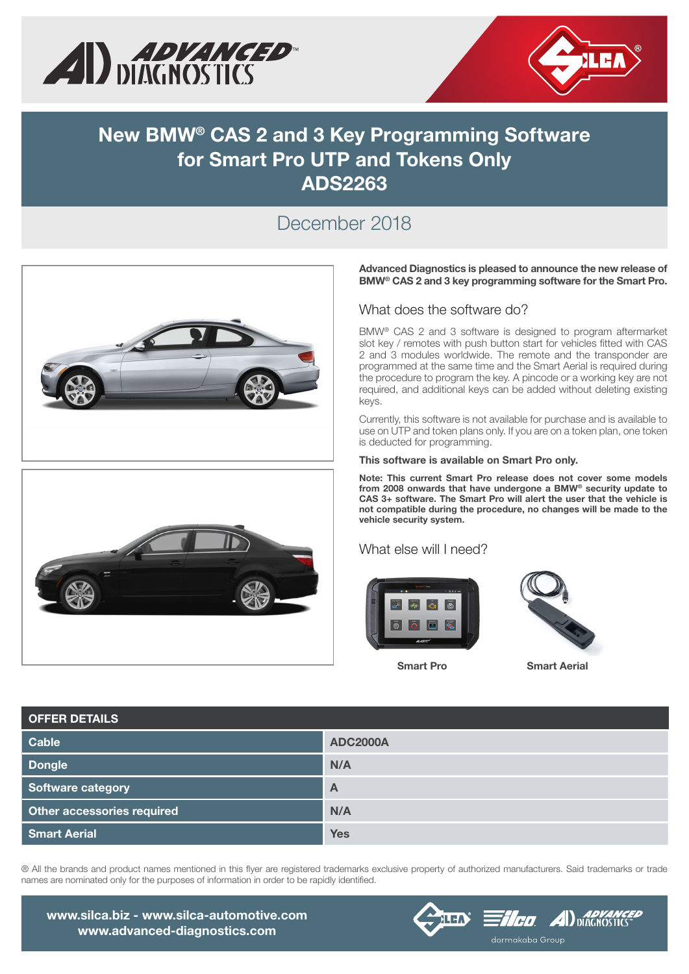



# New BMW® CAS 2 and 3 Key Programming Software for Smart Pro UTP and Tokens Only ADS2263

### December 2018





Advanced Diagnostics is pleased to announce the new release of BMW® CAS 2 and 3 key programming software for the Smart Pro.

#### What does the software do?

BMW® CAS 2 and 3 software is designed to program aftermarket slot key / remotes with push button start for vehicles fitted with CAS 2 and 3 modules worldwide. The remote and the transponder are programmed at the same time and the Smart Aerial is required during the procedure to program the key. A pincode or a working key are not required, and additional keys can be added without deleting existing keys.

Currently, this software is not available for purchase and is available to use on UTP and token plans only. If you are on a token plan, one token is deducted for programming.

This software is available on Smart Pro only.

Note: This current Smart Pro release does not cover some models from 2008 onwards that have undergone a BMW® security update to CAS 3+ software. The Smart Pro will alert the user that the vehicle is not compatible during the procedure, no changes will be made to the vehicle security system.

#### What else will I need?





Smart Pro Smart Aerial

| <b>OFFER DETAILS</b>       |                 |
|----------------------------|-----------------|
| Cable                      | <b>ADC2000A</b> |
| <b>Dongle</b>              | N/A             |
| <b>Software category</b>   | $\mathsf{A}$    |
| Other accessories required | N/A             |
| <b>Smart Aerial</b>        | <b>Yes</b>      |

® All the brands and product names mentioned in this flyer are registered trademarks exclusive property of authorized manufacturers. Said trademarks or trade names are nominated only for the purposes of information in order to be rapidly identified.